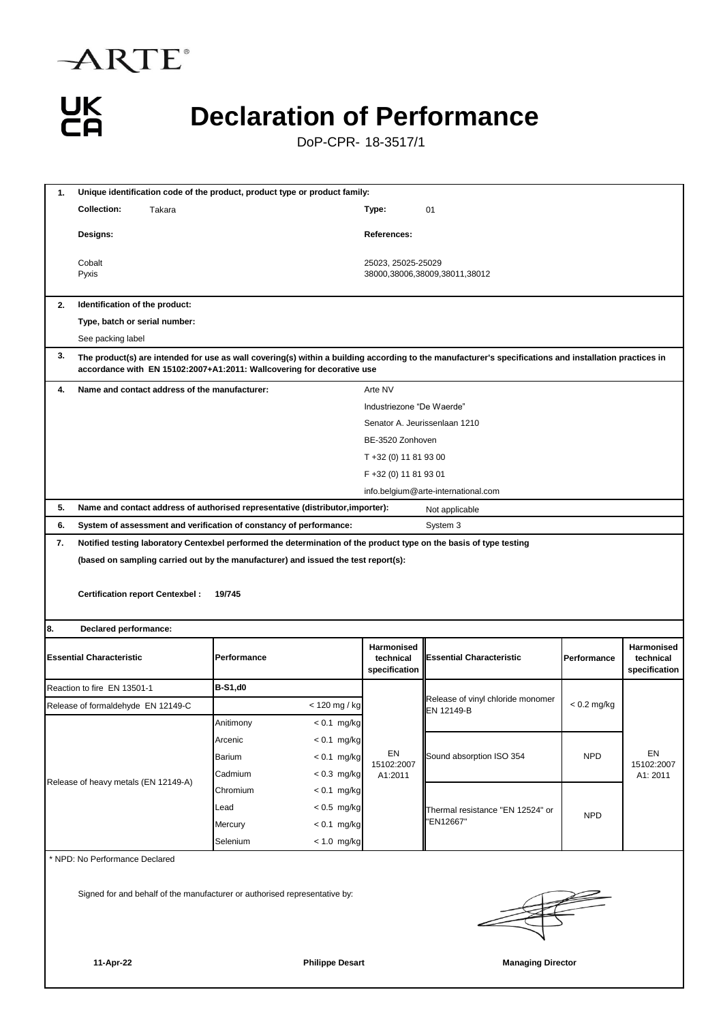



## **Declaration of Performance**

DoP-CPR- 18-3517/1

| 1.                                                                                                   | Unique identification code of the product, product type or product family:                                                                                                                                                       |               |                                                                    |                                                                                |                                                     |                                                                                                                    |               |                              |  |  |
|------------------------------------------------------------------------------------------------------|----------------------------------------------------------------------------------------------------------------------------------------------------------------------------------------------------------------------------------|---------------|--------------------------------------------------------------------|--------------------------------------------------------------------------------|-----------------------------------------------------|--------------------------------------------------------------------------------------------------------------------|---------------|------------------------------|--|--|
|                                                                                                      | <b>Collection:</b><br>Takara                                                                                                                                                                                                     |               | Type:                                                              | 01                                                                             |                                                     |                                                                                                                    |               |                              |  |  |
|                                                                                                      | Designs:                                                                                                                                                                                                                         |               |                                                                    | References:                                                                    |                                                     |                                                                                                                    |               |                              |  |  |
|                                                                                                      | Cobalt<br>Pyxis                                                                                                                                                                                                                  |               |                                                                    |                                                                                | 25023, 25025-25029<br>38000,38006,38009,38011,38012 |                                                                                                                    |               |                              |  |  |
| 2.                                                                                                   | Identification of the product:                                                                                                                                                                                                   |               |                                                                    |                                                                                |                                                     |                                                                                                                    |               |                              |  |  |
|                                                                                                      | Type, batch or serial number:                                                                                                                                                                                                    |               |                                                                    |                                                                                |                                                     |                                                                                                                    |               |                              |  |  |
|                                                                                                      | See packing label                                                                                                                                                                                                                |               |                                                                    |                                                                                |                                                     |                                                                                                                    |               |                              |  |  |
| 3.                                                                                                   | The product(s) are intended for use as wall covering(s) within a building according to the manufacturer's specifications and installation practices in<br>accordance with EN 15102:2007+A1:2011: Wallcovering for decorative use |               |                                                                    |                                                                                |                                                     |                                                                                                                    |               |                              |  |  |
| 4.                                                                                                   | Name and contact address of the manufacturer:                                                                                                                                                                                    |               |                                                                    |                                                                                | Arte NV                                             |                                                                                                                    |               |                              |  |  |
|                                                                                                      |                                                                                                                                                                                                                                  |               |                                                                    |                                                                                | Industriezone "De Waerde"                           |                                                                                                                    |               |                              |  |  |
|                                                                                                      |                                                                                                                                                                                                                                  |               |                                                                    |                                                                                | Senator A. Jeurissenlaan 1210                       |                                                                                                                    |               |                              |  |  |
|                                                                                                      |                                                                                                                                                                                                                                  |               |                                                                    |                                                                                | BE-3520 Zonhoven                                    |                                                                                                                    |               |                              |  |  |
|                                                                                                      |                                                                                                                                                                                                                                  |               |                                                                    |                                                                                | T +32 (0) 11 81 93 00                               |                                                                                                                    |               |                              |  |  |
|                                                                                                      |                                                                                                                                                                                                                                  |               |                                                                    |                                                                                | F +32 (0) 11 81 93 01                               |                                                                                                                    |               |                              |  |  |
| 5.                                                                                                   |                                                                                                                                                                                                                                  |               |                                                                    |                                                                                |                                                     | info.belgium@arte-international.com                                                                                |               |                              |  |  |
| 6.                                                                                                   |                                                                                                                                                                                                                                  |               | System of assessment and verification of constancy of performance: | Name and contact address of authorised representative (distributor, importer): |                                                     | Not applicable<br>System 3                                                                                         |               |                              |  |  |
| 7.                                                                                                   |                                                                                                                                                                                                                                  |               |                                                                    |                                                                                |                                                     | Notified testing laboratory Centexbel performed the determination of the product type on the basis of type testing |               |                              |  |  |
|                                                                                                      |                                                                                                                                                                                                                                  |               |                                                                    |                                                                                |                                                     |                                                                                                                    |               |                              |  |  |
|                                                                                                      | (based on sampling carried out by the manufacturer) and issued the test report(s):<br><b>Certification report Centexbel:</b><br>19/745                                                                                           |               |                                                                    |                                                                                |                                                     |                                                                                                                    |               |                              |  |  |
| 8.                                                                                                   | Declared performance:                                                                                                                                                                                                            |               |                                                                    |                                                                                |                                                     |                                                                                                                    |               |                              |  |  |
| <b>Essential Characteristic</b><br>Performance                                                       |                                                                                                                                                                                                                                  |               | Harmonised<br>technical<br>specification                           | <b>Essential Characteristic</b>                                                | Performance                                         | Harmonised<br>technical<br>specification                                                                           |               |                              |  |  |
|                                                                                                      | Reaction to fire EN 13501-1                                                                                                                                                                                                      |               | <b>B-S1,d0</b>                                                     |                                                                                |                                                     |                                                                                                                    |               |                              |  |  |
|                                                                                                      | Release of formaldehyde EN 12149-C                                                                                                                                                                                               |               |                                                                    | < 120 mg / kg                                                                  |                                                     | Release of vinyl chloride monomer<br>EN 12149-B                                                                    | $< 0.2$ mg/kg |                              |  |  |
|                                                                                                      |                                                                                                                                                                                                                                  |               | Anitimony                                                          | $< 0.1$ mg/kg                                                                  |                                                     |                                                                                                                    |               |                              |  |  |
|                                                                                                      |                                                                                                                                                                                                                                  |               | Arcenic                                                            | $< 0.1$ mg/kg                                                                  |                                                     |                                                                                                                    |               |                              |  |  |
| Barium<br>Cadmium<br>Release of heavy metals (EN 12149-A)<br>Chromium<br>Lead<br>Mercury<br>Selenium |                                                                                                                                                                                                                                  |               |                                                                    | $< 0.1$ mg/kg                                                                  | EN<br>15102:2007<br>A1:2011                         | Sound absorption ISO 354                                                                                           | <b>NPD</b>    | EN<br>15102:2007<br>A1: 2011 |  |  |
|                                                                                                      |                                                                                                                                                                                                                                  |               |                                                                    | $< 0.3$ mg/kg                                                                  |                                                     |                                                                                                                    |               |                              |  |  |
|                                                                                                      |                                                                                                                                                                                                                                  |               |                                                                    | $< 0.1$ mg/kg                                                                  |                                                     |                                                                                                                    |               |                              |  |  |
|                                                                                                      |                                                                                                                                                                                                                                  |               | $< 0.5$ mg/kg                                                      |                                                                                | Thermal resistance "EN 12524" or<br>EN12667"        | <b>NPD</b>                                                                                                         |               |                              |  |  |
|                                                                                                      |                                                                                                                                                                                                                                  |               | $< 0.1$ mg/kg                                                      |                                                                                |                                                     |                                                                                                                    |               |                              |  |  |
|                                                                                                      |                                                                                                                                                                                                                                  | $< 1.0$ mg/kg |                                                                    |                                                                                |                                                     |                                                                                                                    |               |                              |  |  |
| NPD: No Performance Declared                                                                         |                                                                                                                                                                                                                                  |               |                                                                    |                                                                                |                                                     |                                                                                                                    |               |                              |  |  |
| Signed for and behalf of the manufacturer or authorised representative by:                           |                                                                                                                                                                                                                                  |               |                                                                    |                                                                                |                                                     |                                                                                                                    |               |                              |  |  |
|                                                                                                      | 11-Apr-22                                                                                                                                                                                                                        |               |                                                                    | <b>Philippe Desart</b>                                                         |                                                     | <b>Managing Director</b>                                                                                           |               |                              |  |  |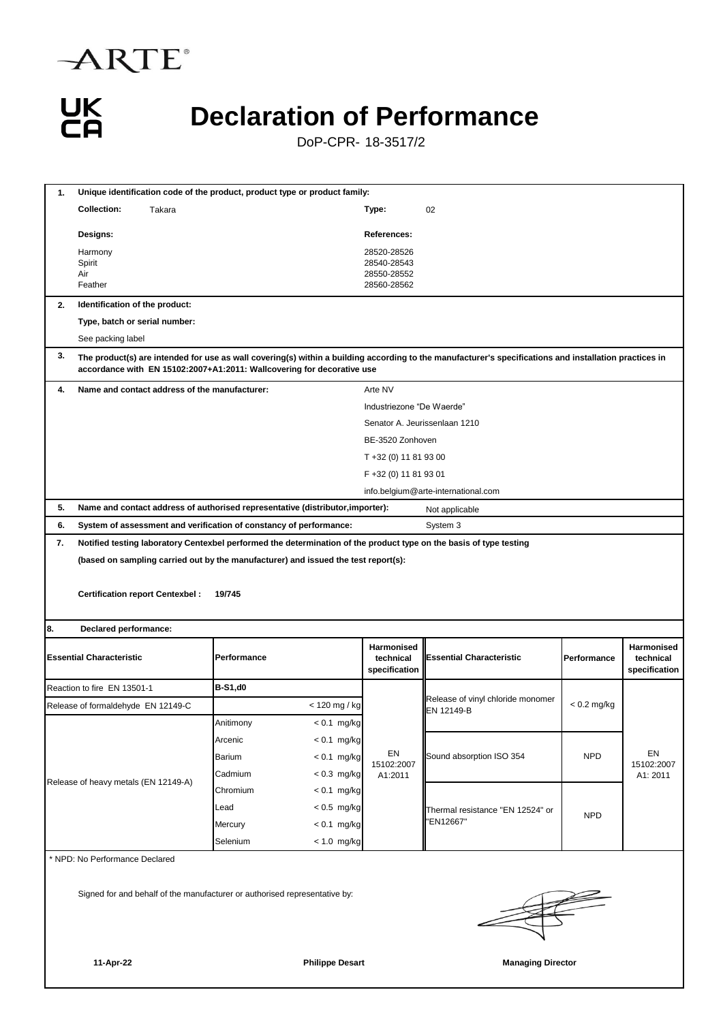



#### **Declaration of Performance**

DoP-CPR- 18-3517/2

| 1.                                                                         | Unique identification code of the product, product type or product family:                                                                                                                                                       |          |                |                        |                                          |                                                                                                                    |               |                                          |  |  |
|----------------------------------------------------------------------------|----------------------------------------------------------------------------------------------------------------------------------------------------------------------------------------------------------------------------------|----------|----------------|------------------------|------------------------------------------|--------------------------------------------------------------------------------------------------------------------|---------------|------------------------------------------|--|--|
|                                                                            | <b>Collection:</b>                                                                                                                                                                                                               | Takara   |                |                        | Type:                                    | 02                                                                                                                 |               |                                          |  |  |
|                                                                            | <b>Designs:</b>                                                                                                                                                                                                                  |          |                |                        | References:                              |                                                                                                                    |               |                                          |  |  |
|                                                                            | Harmony                                                                                                                                                                                                                          |          |                |                        | 28520-28526                              |                                                                                                                    |               |                                          |  |  |
|                                                                            | Spirit<br>Air                                                                                                                                                                                                                    |          |                |                        | 28540-28543<br>28550-28552               |                                                                                                                    |               |                                          |  |  |
|                                                                            | Feather                                                                                                                                                                                                                          |          |                |                        | 28560-28562                              |                                                                                                                    |               |                                          |  |  |
| 2.                                                                         | Identification of the product:                                                                                                                                                                                                   |          |                |                        |                                          |                                                                                                                    |               |                                          |  |  |
|                                                                            | Type, batch or serial number:                                                                                                                                                                                                    |          |                |                        |                                          |                                                                                                                    |               |                                          |  |  |
|                                                                            | See packing label                                                                                                                                                                                                                |          |                |                        |                                          |                                                                                                                    |               |                                          |  |  |
| 3.                                                                         | The product(s) are intended for use as wall covering(s) within a building according to the manufacturer's specifications and installation practices in<br>accordance with EN 15102:2007+A1:2011: Wallcovering for decorative use |          |                |                        |                                          |                                                                                                                    |               |                                          |  |  |
| 4.                                                                         | Name and contact address of the manufacturer:                                                                                                                                                                                    |          |                |                        | Arte NV                                  |                                                                                                                    |               |                                          |  |  |
|                                                                            |                                                                                                                                                                                                                                  |          |                |                        | Industriezone "De Waerde"                |                                                                                                                    |               |                                          |  |  |
|                                                                            |                                                                                                                                                                                                                                  |          |                |                        |                                          | Senator A. Jeurissenlaan 1210                                                                                      |               |                                          |  |  |
|                                                                            |                                                                                                                                                                                                                                  |          |                |                        | BE-3520 Zonhoven                         |                                                                                                                    |               |                                          |  |  |
|                                                                            |                                                                                                                                                                                                                                  |          |                |                        | T +32 (0) 11 81 93 00                    |                                                                                                                    |               |                                          |  |  |
|                                                                            |                                                                                                                                                                                                                                  |          |                |                        | F +32 (0) 11 81 93 01                    |                                                                                                                    |               |                                          |  |  |
|                                                                            |                                                                                                                                                                                                                                  |          |                |                        |                                          | info.belgium@arte-international.com                                                                                |               |                                          |  |  |
| 5.                                                                         | Name and contact address of authorised representative (distributor, importer):                                                                                                                                                   |          |                |                        |                                          | Not applicable                                                                                                     |               |                                          |  |  |
| 6.                                                                         | System of assessment and verification of constancy of performance:                                                                                                                                                               |          |                |                        |                                          | System 3                                                                                                           |               |                                          |  |  |
| 7.                                                                         |                                                                                                                                                                                                                                  |          |                |                        |                                          | Notified testing laboratory Centexbel performed the determination of the product type on the basis of type testing |               |                                          |  |  |
|                                                                            | (based on sampling carried out by the manufacturer) and issued the test report(s):                                                                                                                                               |          |                |                        |                                          |                                                                                                                    |               |                                          |  |  |
|                                                                            | <b>Certification report Centexbel:</b>                                                                                                                                                                                           |          | 19/745         |                        |                                          |                                                                                                                    |               |                                          |  |  |
| 8.                                                                         | Declared performance:                                                                                                                                                                                                            |          |                |                        |                                          |                                                                                                                    |               |                                          |  |  |
|                                                                            | <b>Essential Characteristic</b>                                                                                                                                                                                                  |          | Performance    |                        | Harmonised<br>technical<br>specification | <b>Essential Characteristic</b>                                                                                    | Performance   | Harmonised<br>technical<br>specification |  |  |
|                                                                            | Reaction to fire EN 13501-1                                                                                                                                                                                                      |          | <b>B-S1,d0</b> |                        |                                          |                                                                                                                    |               |                                          |  |  |
|                                                                            | Release of formaldehyde EN 12149-C                                                                                                                                                                                               |          |                | < 120 mg / kg          |                                          | Release of vinyl chloride monomer<br>EN 12149-B                                                                    | $< 0.2$ mg/kg |                                          |  |  |
|                                                                            |                                                                                                                                                                                                                                  |          | Anitimony      | $< 0.1$ mg/kg          |                                          |                                                                                                                    |               |                                          |  |  |
|                                                                            |                                                                                                                                                                                                                                  |          | Arcenic        | $< 0.1$ mg/kg          |                                          |                                                                                                                    |               |                                          |  |  |
|                                                                            |                                                                                                                                                                                                                                  |          | Barium         | $< 0.1$ mg/kg          | EN<br>15102:2007                         | Sound absorption ISO 354                                                                                           | <b>NPD</b>    | EN<br>15102:2007<br>A1: 2011             |  |  |
|                                                                            | Release of heavy metals (EN 12149-A)                                                                                                                                                                                             |          | Cadmium        | $< 0.3$ mg/kg          | A1:2011                                  |                                                                                                                    |               |                                          |  |  |
|                                                                            |                                                                                                                                                                                                                                  |          | Chromium       | $< 0.1$ mg/kg          |                                          | Thermal resistance "EN 12524" or                                                                                   | <b>NPD</b>    |                                          |  |  |
|                                                                            |                                                                                                                                                                                                                                  |          | Lead           | $< 0.5$ mg/kg          |                                          |                                                                                                                    |               |                                          |  |  |
|                                                                            |                                                                                                                                                                                                                                  |          | Mercury        | $< 0.1$ mg/kg          |                                          | 'EN12667"                                                                                                          |               |                                          |  |  |
|                                                                            |                                                                                                                                                                                                                                  | Selenium | $< 1.0$ mg/kg  |                        |                                          |                                                                                                                    |               |                                          |  |  |
| * NPD: No Performance Declared                                             |                                                                                                                                                                                                                                  |          |                |                        |                                          |                                                                                                                    |               |                                          |  |  |
| Signed for and behalf of the manufacturer or authorised representative by: |                                                                                                                                                                                                                                  |          |                |                        |                                          |                                                                                                                    |               |                                          |  |  |
|                                                                            | 11-Apr-22                                                                                                                                                                                                                        |          |                | <b>Philippe Desart</b> |                                          | <b>Managing Director</b>                                                                                           |               |                                          |  |  |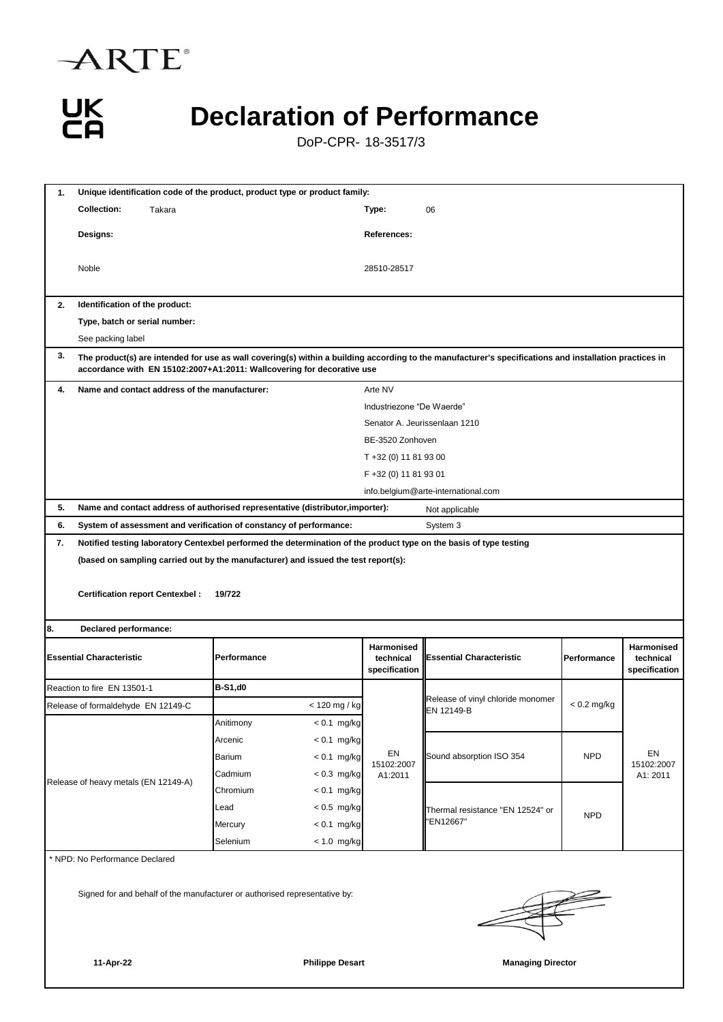

# UK<br>CA

## **Declaration of Performance**

DoP-CPR- 18-3517/3

| 1.                                                                         | Unique identification code of the product, product type or product family:                                                                                                                                                       |                                                                                                                    |                                          |                                                 |               |                                                 |  |  |  |
|----------------------------------------------------------------------------|----------------------------------------------------------------------------------------------------------------------------------------------------------------------------------------------------------------------------------|--------------------------------------------------------------------------------------------------------------------|------------------------------------------|-------------------------------------------------|---------------|-------------------------------------------------|--|--|--|
|                                                                            | <b>Collection:</b><br>Takara                                                                                                                                                                                                     |                                                                                                                    | Type:                                    | 06                                              |               |                                                 |  |  |  |
|                                                                            | Designs:                                                                                                                                                                                                                         |                                                                                                                    | References:                              |                                                 |               |                                                 |  |  |  |
|                                                                            | Noble                                                                                                                                                                                                                            |                                                                                                                    | 28510-28517                              |                                                 |               |                                                 |  |  |  |
| 2.                                                                         | Identification of the product:                                                                                                                                                                                                   |                                                                                                                    |                                          |                                                 |               |                                                 |  |  |  |
|                                                                            | Type, batch or serial number:                                                                                                                                                                                                    |                                                                                                                    |                                          |                                                 |               |                                                 |  |  |  |
|                                                                            | See packing label                                                                                                                                                                                                                |                                                                                                                    |                                          |                                                 |               |                                                 |  |  |  |
| 3.                                                                         | The product(s) are intended for use as wall covering(s) within a building according to the manufacturer's specifications and installation practices in<br>accordance with EN 15102:2007+A1:2011: Wallcovering for decorative use |                                                                                                                    |                                          |                                                 |               |                                                 |  |  |  |
| 4.                                                                         | Name and contact address of the manufacturer:                                                                                                                                                                                    |                                                                                                                    | Arte NV                                  |                                                 |               |                                                 |  |  |  |
|                                                                            |                                                                                                                                                                                                                                  |                                                                                                                    | Industriezone "De Waerde"                |                                                 |               |                                                 |  |  |  |
|                                                                            |                                                                                                                                                                                                                                  |                                                                                                                    |                                          | Senator A. Jeurissenlaan 1210                   |               |                                                 |  |  |  |
|                                                                            |                                                                                                                                                                                                                                  |                                                                                                                    | BE-3520 Zonhoven                         |                                                 |               |                                                 |  |  |  |
|                                                                            |                                                                                                                                                                                                                                  |                                                                                                                    | T +32 (0) 11 81 93 00                    |                                                 |               |                                                 |  |  |  |
|                                                                            |                                                                                                                                                                                                                                  |                                                                                                                    | F +32 (0) 11 81 93 01                    |                                                 |               |                                                 |  |  |  |
|                                                                            |                                                                                                                                                                                                                                  |                                                                                                                    |                                          | info.belgium@arte-international.com             |               |                                                 |  |  |  |
| 5.                                                                         |                                                                                                                                                                                                                                  | Name and contact address of authorised representative (distributor, importer):                                     |                                          | Not applicable                                  |               |                                                 |  |  |  |
| 6.                                                                         |                                                                                                                                                                                                                                  | System of assessment and verification of constancy of performance:                                                 |                                          | System 3                                        |               |                                                 |  |  |  |
| 7.                                                                         |                                                                                                                                                                                                                                  | Notified testing laboratory Centexbel performed the determination of the product type on the basis of type testing |                                          |                                                 |               |                                                 |  |  |  |
|                                                                            | <b>Certification report Centexbel:</b><br>19/722                                                                                                                                                                                 |                                                                                                                    |                                          |                                                 |               |                                                 |  |  |  |
| 8.                                                                         | Declared performance:                                                                                                                                                                                                            |                                                                                                                    |                                          |                                                 |               |                                                 |  |  |  |
| <b>Essential Characteristic</b><br>Performance                             |                                                                                                                                                                                                                                  |                                                                                                                    | Harmonised<br>technical<br>specification | <b>Essential Characteristic</b>                 | Performance   | <b>Harmonised</b><br>technical<br>specification |  |  |  |
|                                                                            | Reaction to fire EN 13501-1                                                                                                                                                                                                      | <b>B-S1,d0</b>                                                                                                     |                                          |                                                 |               |                                                 |  |  |  |
|                                                                            | Release of formaldehyde EN 12149-C                                                                                                                                                                                               | < 120 mg / kg                                                                                                      |                                          | Release of vinyl chloride monomer<br>EN 12149-B | $< 0.2$ mg/kg |                                                 |  |  |  |
|                                                                            |                                                                                                                                                                                                                                  | Anitimony<br>$< 0.1$ mg/kg                                                                                         |                                          |                                                 |               |                                                 |  |  |  |
| Release of heavy metals (EN 12149-A)                                       |                                                                                                                                                                                                                                  | $< 0.1$ mg/kg<br>Arcenic                                                                                           | EN<br>15102:2007<br>A1:2011              |                                                 | <b>NPD</b>    | EN<br>15102:2007<br>A1: 2011                    |  |  |  |
|                                                                            |                                                                                                                                                                                                                                  | Barium<br>$< 0.1$ mg/kg                                                                                            |                                          | Sound absorption ISO 354                        |               |                                                 |  |  |  |
|                                                                            |                                                                                                                                                                                                                                  | Cadmium<br>$< 0.3$ mg/kg                                                                                           |                                          |                                                 |               |                                                 |  |  |  |
|                                                                            |                                                                                                                                                                                                                                  | Chromium<br>$< 0.1$ mg/kg                                                                                          |                                          | Thermal resistance "EN 12524" or<br>'EN12667"   | <b>NPD</b>    |                                                 |  |  |  |
|                                                                            |                                                                                                                                                                                                                                  | $< 0.5$ mg/kg<br>Lead                                                                                              |                                          |                                                 |               |                                                 |  |  |  |
|                                                                            |                                                                                                                                                                                                                                  | $< 0.1$ mg/kg<br>Mercury                                                                                           |                                          |                                                 |               |                                                 |  |  |  |
|                                                                            |                                                                                                                                                                                                                                  | Selenium<br>$< 1.0$ mg/kg                                                                                          |                                          |                                                 |               |                                                 |  |  |  |
| * NPD: No Performance Declared                                             |                                                                                                                                                                                                                                  |                                                                                                                    |                                          |                                                 |               |                                                 |  |  |  |
| Signed for and behalf of the manufacturer or authorised representative by: |                                                                                                                                                                                                                                  |                                                                                                                    |                                          |                                                 |               |                                                 |  |  |  |

**11-Apr-22 Philippe Desart Managing Director**